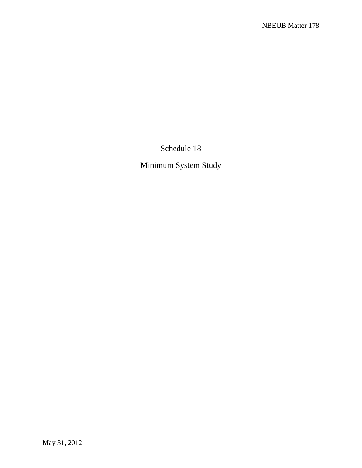Schedule 18

Minimum System Study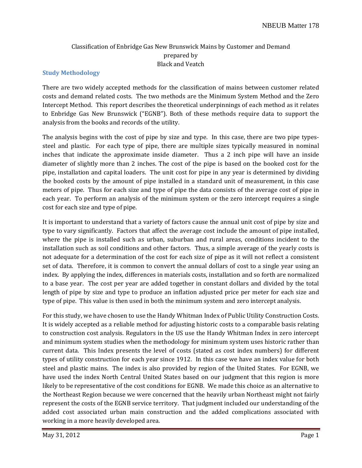# Classification of Enbridge Gas New Brunswick Mains by Customer and Demand prepared by Black and Veatch

# **Study Methodology**

There are two widely accepted methods for the classification of mains between customer related costs and demand related costs. The two methods are the Minimum System Method and the Zero Intercept Method. This report describes the theoretical underpinnings of each method as it relates to Enbridge Gas New Brunswick ("EGNB"). Both of these methods require data to support the analysis from the books and records of the utility.

The analysis begins with the cost of pipe by size and type. In this case, there are two pipe typessteel and plastic. For each type of pipe, there are multiple sizes typically measured in nominal inches that indicate the approximate inside diameter. Thus a 2 inch pipe will have an inside diameter of slightly more than 2 inches. The cost of the pipe is based on the booked cost for the pipe, installation and capital loaders. The unit cost for pipe in any year is determined by dividing the booked costs by the amount of pipe installed in a standard unit of measurement, in this case meters of pipe. Thus for each size and type of pipe the data consists of the average cost of pipe in each year. To perform an analysis of the minimum system or the zero intercept requires a single cost for each size and type of pipe.

It is important to understand that a variety of factors cause the annual unit cost of pipe by size and type to vary significantly. Factors that affect the average cost include the amount of pipe installed, where the pipe is installed such as urban, suburban and rural areas, conditions incident to the installation such as soil conditions and other factors. Thus, a simple average of the yearly costs is not adequate for a determination of the cost for each size of pipe as it will not reflect a consistent set of data. Therefore, it is common to convert the annual dollars of cost to a single year using an index. By applying the index, differences in materials costs, installation and so forth are normalized to a base year. The cost per year are added together in constant dollars and divided by the total length of pipe by size and type to produce an inflation adjusted price per meter for each size and type of pipe. This value is then used in both the minimum system and zero intercept analysis.

For this study, we have chosen to use the Handy Whitman Index of Public Utility Construction Costs. It is widely accepted as a reliable method for adjusting historic costs to a comparable basis relating to construction cost analysis. Regulators in the US use the Handy Whitman Index in zero intercept and minimum system studies when the methodology for minimum system uses historic rather than current data. This Index presents the level of costs (stated as cost index numbers) for different types of utility construction for each year since 1912. In this case we have an index value for both steel and plastic mains. The index is also provided by region of the United States. For EGNB, we have used the index North Central United States based on our judgment that this region is more likely to be representative of the cost conditions for EGNB. We made this choice as an alternative to the Northeast Region because we were concerned that the heavily urban Northeast might not fairly represent the costs of the EGNB service territory. That judgment included our understanding of the added cost associated urban main construction and the added complications associated with working in a more heavily developed area.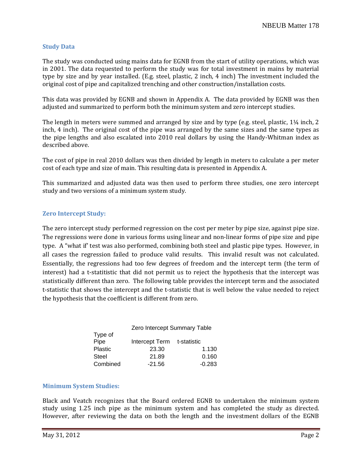# **Study Data**

The study was conducted using mains data for EGNB from the start of utility operations, which was in 2001. The data requested to perform the study was for total investment in mains by material type by size and by year installed. (E.g. steel, plastic, 2 inch, 4 inch) The investment included the original cost of pipe and capitalized trenching and other construction/installation costs.

This data was provided by EGNB and shown in Appendix A. The data provided by EGNB was then adjusted and summarized to perform both the minimum system and zero intercept studies.

The length in meters were summed and arranged by size and by type (e.g. steel, plastic,  $1\frac{1}{4}$  inch, 2 inch, 4 inch). The original cost of the pipe was arranged by the same sizes and the same types as the pipe lengths and also escalated into 2010 real dollars by using the Handy-Whitman index as described above.

The cost of pipe in real 2010 dollars was then divided by length in meters to calculate a per meter cost of each type and size of main. This resulting data is presented in Appendix A.

This summarized and adjusted data was then used to perform three studies, one zero intercept study and two versions of a minimum system study.

### **Zero Intercept Study:**

The zero intercept study performed regression on the cost per meter by pipe size, against pipe size. The regressions were done in various forms using linear and non-linear forms of pipe size and pipe type. A "what if' test was also performed, combining both steel and plastic pipe types. However, in all cases the regression failed to produce valid results. This invalid result was not calculated. Essentially, the regressions had too few degrees of freedom and the intercept term (the term of interest) had a t-statitistic that did not permit us to reject the hypothesis that the intercept was statistically different than zero. The following table provides the intercept term and the associated t-statistic that shows the intercept and the t-statistic that is well below the value needed to reject the hypothesis that the coefficient is different from zero.

| Zero Intercept Summary Table |                            |  |  |  |  |  |  |
|------------------------------|----------------------------|--|--|--|--|--|--|
|                              |                            |  |  |  |  |  |  |
|                              |                            |  |  |  |  |  |  |
| 23.30                        | 1.130                      |  |  |  |  |  |  |
| 21.89                        | 0.160                      |  |  |  |  |  |  |
| $-21.56$                     | $-0.283$                   |  |  |  |  |  |  |
|                              | Intercept Term t-statistic |  |  |  |  |  |  |

# **Minimum System Studies:**

Black and Veatch recognizes that the Board ordered EGNB to undertaken the minimum system study using 1.25 inch pipe as the minimum system and has completed the study as directed. However, after reviewing the data on both the length and the investment dollars of the EGNB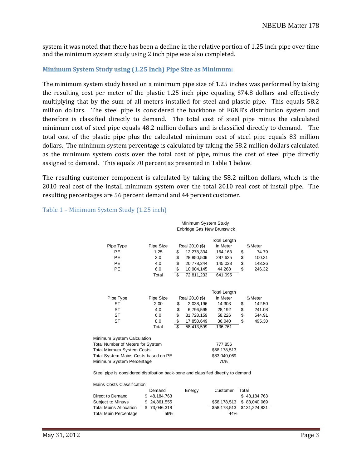s ystem it was noted that there has been a decline in the relative portion of 1.25 inch pipe over time a nd the minimum system study using 2 inch pipe was also completed.

### **Minimum System Study using (1.25 Inch) Pipe Size as Minimum:**

The minimum system study based on a minimum pipe size of 1.25 inches was performed by taking the resulting cost per meter of the plastic 1.25 inch pipe equaling \$74.8 dollars and effectively multiplying that by the sum of all meters installed for steel and plastic pipe. This equals 58.2 million dollars. The steel pipe is considered the backbone of EGNB's distribution system and therefore is classified directly to demand. The total cost of steel pipe minus the calculated minimum cost of steel pipe equals 48.2 million dollars and is classified directly to demand. The total cost of the plastic pipe plus the calculated minimum cost of steel pipe equals 83 million dollars. The minimum system percentage is calculated by taking the 58.2 million dollars calculated as the minimum system costs over the total cost of pipe, minus the cost of steel pipe directly assigned to demand. This equals 70 percent as presented in Table 1 below.

The resulting customer component is calculated by taking the 58.2 million dollars, which is the 2010 real cost of the install minimum system over the total 2010 real cost of install pipe. The resulting percentages are 56 percent demand and 44 percent customer.

### Table 1 – Minimum System Study (1.25 inch)

#### Minimum System Study Enbridge Gas New Brunswick

|           |           |    |                | <b>Total Length</b> |              |
|-----------|-----------|----|----------------|---------------------|--------------|
| Pipe Type | Pipe Size |    | Real 2010 (\$) | in Meter            | \$/Meter     |
| <b>PE</b> | 1.25      | \$ | 12.278.334     | 164,163             | \$<br>74.79  |
| РE        | 2.0       | S  | 28.850.509     | 287,625             | \$<br>100.31 |
| PE        | 4.0       | \$ | 20.778.244     | 145.038             | \$<br>143.26 |
| PE        | 6.0       | \$ | 10,904,145     | 44.268              | \$<br>246.32 |
|           | Total     | \$ | 72.811.233     | 641,095             |              |

|           |           |    |                | Total Length |    |          |
|-----------|-----------|----|----------------|--------------|----|----------|
| Pipe Type | Pipe Size |    | Real 2010 (\$) | in Meter     |    | \$/Meter |
| ST        | 2.00      | S  | 2.038.196      | 14.303       | S  | 142.50   |
| SТ        | 4.0       | S  | 6.796.595      | 28.192       | \$ | 241.08   |
| SТ        | 6.0       | S  | 31.728.159     | 58.226       | \$ | 544.91   |
| ST        | 8.0       | S  | 17,850,649     | 36.040       | \$ | 495.30   |
|           | Total     | \$ | 58.413.599     | 136,761      |    |          |

| Minimum System Calculation           |              |
|--------------------------------------|--------------|
| Total Number of Meters for System    | 777.856      |
| <b>Total Minmum System Costs</b>     | \$58.178.513 |
| Total System Mains Costs based on PE | \$83,040,069 |
| Minimum System Percentage            | 70%          |

Steel pipe is considered distribution back-bone and classified directly to demand

Mains Costs Classification

|                               | Demand       | Energy | Customer | Total                     |
|-------------------------------|--------------|--------|----------|---------------------------|
| Direct to Demand              | \$48,184,763 |        |          | \$48,184,763              |
| Subject to Minsys             | \$24,861,555 |        |          | \$58,178,513 \$83,040,069 |
| <b>Total Mains Allocation</b> | \$73,046,318 |        |          |                           |
| <b>Total Main Percentage</b>  | 56%          |        | 44%      |                           |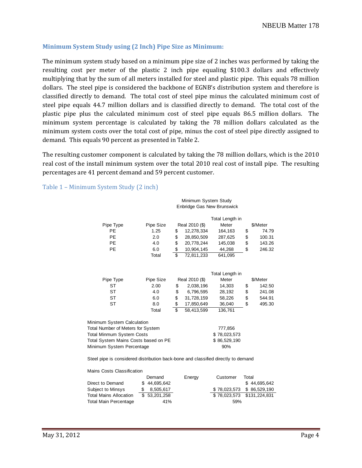### **Minimum System Study using (2 Inch) Pipe Size as Minimum:**

The minimum system study based on a minimum pipe size of 2 inches was performed by taking the resulting cost per meter of the plastic 2 inch pipe equaling \$100.3 dollars and effectively multiplying that by the sum of all meters installed for steel and plastic pipe. This equals 78 million dollars. The steel pipe is considered the backbone of EGNB's distribution system and therefore is classified directly to demand. The total cost of steel pipe minus the calculated minimum cost of steel pipe equals 44.7 million dollars and is classified directly to demand. The total cost of the plastic pipe plus the calculated minimum cost of steel pipe equals 86.5 million dollars. The minimum system percentage is calculated by taking the 78 million dollars calculated as the minimum system costs over the total cost of pipe, minus the cost of steel pipe directly assigned to demand. This equals 90 percent as presented in Table 2.

The resulting customer component is calculated by taking the 78 million dollars, which is the 2010 real cost of the install minimum system over the total 2010 real cost of install pipe. The resulting percentages are 41 percent demand and 59 percent customer.

Table 1 – Minimum System Study (2 inch)

Mains Costs Classification

Minimum System Study Enbridge Gas New Brunswick

|                                      |           |                  | Total Length in |              |
|--------------------------------------|-----------|------------------|-----------------|--------------|
| Pipe Type                            | Pipe Size | Real 2010 (\$)   | Meter           | \$/Meter     |
| <b>PE</b>                            | 1.25      | \$<br>12,278,334 | 164,163         | \$<br>74.79  |
| <b>PE</b>                            | 2.0       | \$<br>28,850,509 | 287,625         | \$<br>100.31 |
| <b>PE</b>                            | 4.0       | \$<br>20,778,244 | 145,038         | \$<br>143.26 |
| <b>PE</b>                            | 6.0       | \$<br>10,904,145 | 44,268          | \$<br>246.32 |
|                                      | Total     | \$<br>72,811,233 | 641,095         |              |
|                                      |           |                  | Total Length in |              |
| Pipe Type                            | Pipe Size | Real 2010 (\$)   | Meter           | \$/Meter     |
| ST                                   | 2.00      | \$<br>2,038,196  | 14,303          | \$<br>142.50 |
| <b>ST</b>                            | 4.0       | \$<br>6,796,595  | 28,192          | \$<br>241.08 |
| ST                                   | 6.0       | \$<br>31,728,159 | 58,226          | \$<br>544.91 |
| <b>ST</b>                            | 8.0       | \$<br>17,850,649 | 36,040          | \$<br>495.30 |
|                                      | Total     | \$<br>58,413,599 | 136,761         |              |
| Minimum System Calculation           |           |                  |                 |              |
| Total Number of Meters for System    |           |                  | 777,856         |              |
| Total Minmum System Costs            |           |                  | \$78,023,573    |              |
| Total System Mains Costs based on PE |           |                  | \$86,529,190    |              |
| Minimum System Percentage            |           |                  | 90%             |              |
|                                      |           |                  |                 |              |

Steel pipe is considered distribution back-bone and classified directly to demand

| Mallis Costs Classilication   |  |              |        |          |                            |  |  |  |  |  |
|-------------------------------|--|--------------|--------|----------|----------------------------|--|--|--|--|--|
|                               |  | Demand       | Energy | Customer | Total                      |  |  |  |  |  |
| Direct to Demand              |  | \$44,695,642 |        |          | \$44.695.642               |  |  |  |  |  |
| Subject to Minsys             |  | 8.505.617    |        |          | \$78.023.573 \$86.529.190  |  |  |  |  |  |
| <b>Total Mains Allocation</b> |  | \$53,201,258 |        |          | \$78.023.573 \$131.224.831 |  |  |  |  |  |
| <b>Total Main Percentage</b>  |  | 41%          |        | 59%      |                            |  |  |  |  |  |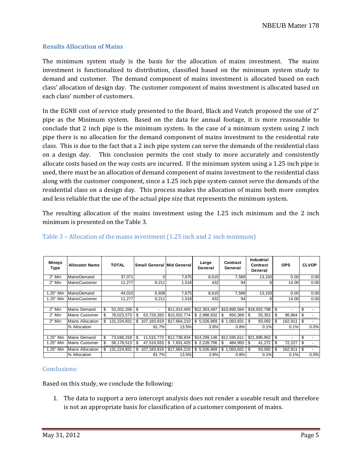# **Results Allocation of Mains**

The minimum system study is the basis for the allocation of mains investment. The mains investment is functionalized to distribution, classified based on the minimum system study to demand and customer. The demand component of mains investment is allocated based on each class' allocation of design day. The customer component of mains investment is allocated based on each class' number of customers.

In the EGNB cost of service study presented to the Board, Black and Veatch proposed the use of 2" pipe as the Minimum system. Based on the data for annual footage, it is more reasonable to conclude that 2 inch pipe is the minimum system. In the case of a minimum system using 2 inch pipe there is no allocation for the demand component of mains investment to the residential rate class. This is due to the fact that a 2 inch pipe system can serve the demands of the residential class on a design day. This conclusion permits the cost study to more accurately and consistently allocate costs based on the way costs are incurred. If the minimum system using a 1.25 inch pipe is used, there must be an allocation of demand component of mains investment to the residential class along with the customer component, since a 1.25 inch pipe system cannot serve the demands of the residential class on a design day. This process makes the allocation of mains both more complex and less reliable that the use of the actual pipe size that represents the minimum system.

The resulting allocation of the mains investment using the 1.25 inch minimum and the 2 inch minimum is presented on the Table 3.

| <b>Minsys</b><br>Type | <b>Allocator Name</b>   |    | <b>TOTAL</b> |    |                          | <b>Small General Mid General</b> | Large<br>General | Contract<br>General | Industrial<br>Contract<br>General | <b>OPS</b>    |    | <b>CLVOP</b> |
|-----------------------|-------------------------|----|--------------|----|--------------------------|----------------------------------|------------------|---------------------|-----------------------------------|---------------|----|--------------|
| 2" Min                | Mains Demand            |    | 37,071       |    | $\Omega$                 | 7,675                            | 8,615            | 7,589               | 13,193                            | 0.00          |    | 0.00         |
| 2" Min                | <b>MainsCustomer</b>    |    | 11,277       |    | 9,211                    | 1,518                            | 432              | 94                  | 8                                 | 14.00         |    | 0.00         |
|                       |                         |    |              |    |                          |                                  |                  |                     |                                   |               |    |              |
| 1.25" Min             | MainsDemand             |    | 44,010       |    | 6,938                    | 7,675                            | 8,615            | 7,589               | 13,193                            | 0.00          |    | 0.00         |
| 1.25" Min             | <b>MainsCustomer</b>    |    | 11.277       |    | 9,211                    | 1,518                            | 432              | 94                  | 81                                | 14.00         |    | 0.00         |
|                       |                         |    |              |    |                          |                                  |                  |                     |                                   |               |    |              |
| 2" Min                | Mains Demand            | \$ | 53,201,258   | \$ | $\overline{\phantom{a}}$ | \$11,014,400                     | \$12,363,497     | \$10,890,564        | \$18,932,798                      | \$<br>٠       | \$ |              |
| 2" Min                | <b>Mains Customer</b>   | S. | 78,023,573   | \$ | 63,729,283               | \$10,502,774                     | \$2,988,932      | \$<br>650.369       | \$<br>55,351                      | \$<br>96,864  | \$ |              |
| 2" Min                | <b>Mains Allocation</b> | \$ | 131,224,831  | \$ | 107,183,819              | \$17,664,210                     | \$5,026,969      | \$1,093,831         | 93.092<br>-S                      | \$<br>162,911 | \$ |              |
|                       | % Allocation            |    |              |    | 81.7%                    | 13.5%                            | 3.8%             | 0.8%                | 0.1%                              | 0.1%          |    | 0.0%         |
|                       |                         |    |              |    |                          |                                  |                  |                     |                                   |               |    |              |
| 1.25" Min             | Mains Demand            | \$ | 73,046,318   | \$ | 11,515,773               | \$12,738,834                     | \$14,299,148     | \$12,595,611        | \$21,896,952                      | \$<br>٠       | \$ |              |
| 1.25" Min             | <b>Mains Customer</b>   |    | 58,178,513   | S  | 47,519,933               | \$7,831,425                      | \$2,228,706      | \$<br>484,950       | 41,272                            | 72,227        | S  |              |
| 1.25" Min             | <b>Mains Allocation</b> | \$ | 131,224,831  | \$ | 107,183,819              | \$17,664,210                     | \$5,026,969      | \$1,093,831         | 93,092<br>\$                      | \$<br>162,911 | \$ |              |
|                       | % Allocation            |    |              |    | 81.7%                    | 13.5%                            | 3.8%             | 0.8%                | 0.1%                              | 0.1%          |    | 0.0%         |

### Table 3 – Allocation of the mains investment (1.25 inch and 2 inch minimum)

# Conclusions:

Based on this study, we conclude the following:

1. The data to support a zero intercept analysis does not render a useable result and therefore is not an appropriate basis for classification of a customer component of mains.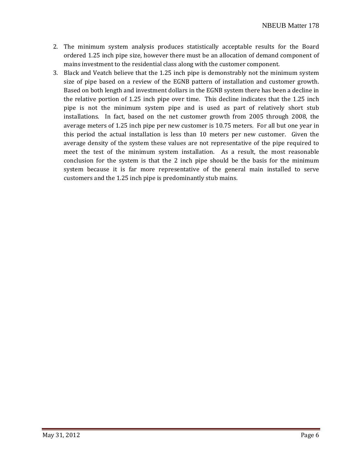- 2. The minimum system analysis produces statistically acceptable results for the Board ordered 1.25 inch pipe size, however there must be an allocation of demand component of mains investment to the residential class along with the customer component.
- 3. Black and Veatch believe that the 1.25 inch pipe is demonstrably not the minimum system size of pipe based on a review of the EGNB pattern of installation and customer growth. Based on both length and investment dollars in the EGNB system there has been a decline in the relative portion of 1.25 inch pipe over time. This decline indicates that the 1.25 inch pipe is not the minimum system pipe and is used as part of relatively short stub installations. In fact, based on the net customer growth from 2005 through 2008, the average meters of 1.25 inch pipe per new customer is 10.75 meters. For all but one year in this period the actual installation is less than 10 meters per new customer. Given the average density of the system these values are not representative of the pipe required to meet the test of the minimum system installation. As a result, the most reasonable conclusion for the system is that the 2 inch pipe should be the basis for the minimum system because it is far more representative of the general main installed to serve customers and the 1.25 inch pipe is predominantly stub mains.